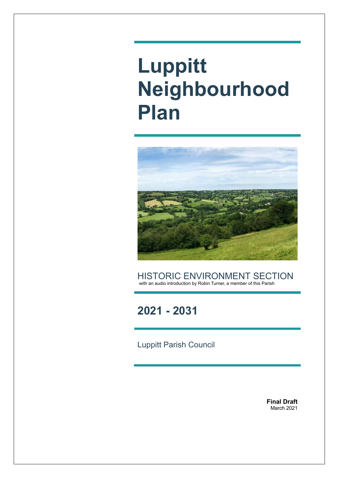# **Luppitt Neighbourhood Plan**



HISTORIC ENVIRONMENT SECTION with an audio introduction by Robin Turner, a member of this Parish

### **2021 - 2031**

Luppitt Parish Council

**Final Draft** March 2021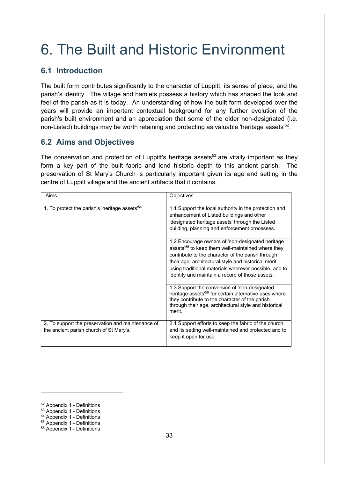## 6. The Built and Historic Environment

#### **6.1 Introduction**

The built form contributes significantly to the character of Luppitt, its sense of place, and the parish's identity. The village and hamlets possess a history which has shaped the look and feel of the parish as it is today. An understanding of how the built form developed over the years will provide an important contextual background for any further evolution of the parish's built environment and an appreciation that some of the older non-designated (i.e. non-Listed) buildings may be worth retaining and protecting as valuable 'heritage assets'<sup>52</sup>.

#### **6.2 Aims and Objectives**

The conservation and protection of Luppitt's heritage assets<sup>53</sup> are vitally important as they form a key part of the built fabric and lend historic depth to this ancient parish. The preservation of St Mary's Church is particularly important given its age and setting in the centre of Luppitt village and the ancient artifacts that it contains.

| Aims                                                                                         | Objectives                                                                                                                                                                                                                                                                                                                                |
|----------------------------------------------------------------------------------------------|-------------------------------------------------------------------------------------------------------------------------------------------------------------------------------------------------------------------------------------------------------------------------------------------------------------------------------------------|
| 1. To protect the parish's 'heritage assets' <sup>54</sup>                                   | 1.1 Support the local authority in the protection and<br>enhancement of Listed buildings and other<br>'designated heritage assets' through the Listed<br>building, planning and enforcement processes.                                                                                                                                    |
|                                                                                              | 1.2 Encourage owners of 'non-designated heritage<br>assets <sup>'55</sup> to keep them well-maintained where they<br>contribute to the character of the parish through<br>their age, architectural style and historical merit<br>using traditional materials wherever possible, and to<br>identify and maintain a record of those assets. |
|                                                                                              | 1.3 Support the conversion of 'non-designated<br>heritage assets <sup>'56</sup> for certain alternative uses where<br>they contribute to the character of the parish<br>through their age, architectural style and historical<br>merit.                                                                                                   |
| 2. To support the preservation and maintenance of<br>the ancient parish church of St Mary's. | 2.1 Support efforts to keep the fabric of the church<br>and its setting well-maintained and protected and to<br>keep it open for use.                                                                                                                                                                                                     |

<sup>52</sup> Appendix 1 - Definitions

<sup>53</sup> Appendix 1 - Definitions

<sup>54</sup> Appendix 1 - Definitions <sup>55</sup> Appendix 1 - Definitions

<sup>56</sup> Appendix 1 - Definitions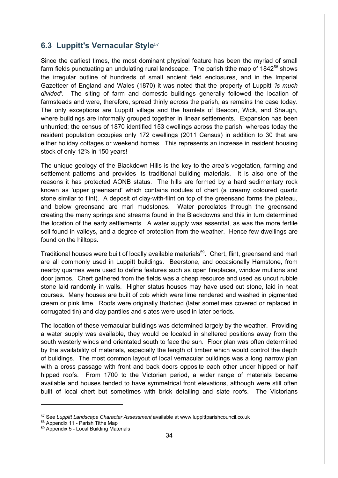#### **6.3 Luppitt's Vernacular Style**<sup>57</sup>

Since the earliest times, the most dominant physical feature has been the myriad of small farm fields punctuating an undulating rural landscape. The parish tithe map of  $1842^{58}$  shows the irregular outline of hundreds of small ancient field enclosures, and in the Imperial Gazetteer of England and Wales (1870) it was noted that the property of Luppitt *'is much divided'*. The siting of farm and domestic buildings generally followed the location of farmsteads and were, therefore, spread thinly across the parish, as remains the case today. The only exceptions are Luppitt village and the hamlets of Beacon, Wick, and Shaugh, where buildings are informally grouped together in linear settlements. Expansion has been unhurried; the census of 1870 identified 153 dwellings across the parish, whereas today the resident population occupies only 172 dwellings (2011 Census) in addition to 30 that are either holiday cottages or weekend homes. This represents an increase in resident housing stock of only 12% in 150 years!

The unique geology of the Blackdown Hills is the key to the area's vegetation, farming and settlement patterns and provides its traditional building materials. It is also one of the reasons it has protected AONB status. The hills are formed by a hard sedimentary rock known as 'upper greensand' which contains nodules of chert (a creamy coloured quartz stone similar to flint). A deposit of clay-with-flint on top of the greensand forms the plateau, and below greensand are marl mudstones. Water percolates through the greensand creating the many springs and streams found in the Blackdowns and this in turn determined the location of the early settlements. A water supply was essential, as was the more fertile soil found in valleys, and a degree of protection from the weather. Hence few dwellings are found on the hilltops.

Traditional houses were built of locally available materials<sup>59</sup>. Chert, flint, greensand and marl are all commonly used in Luppitt buildings. Beerstone, and occasionally Hamstone, from nearby quarries were used to define features such as open fireplaces, window mullions and door jambs. Chert gathered from the fields was a cheap resource and used as uncut rubble stone laid randomly in walls. Higher status houses may have used cut stone, laid in neat courses. Many houses are built of cob which were lime rendered and washed in pigmented cream or pink lime. Roofs were originally thatched (later sometimes covered or replaced in corrugated tin) and clay pantiles and slates were used in later periods.

The location of these vernacular buildings was determined largely by the weather. Providing a water supply was available, they would be located in sheltered positions away from the south westerly winds and orientated south to face the sun. Floor plan was often determined by the availability of materials, especially the length of timber which would control the depth of buildings. The most common layout of local vernacular buildings was a long narrow plan with a cross passage with front and back doors opposite each other under hipped or half hipped roofs. From 1700 to the Victorian period, a wider range of materials became available and houses tended to have symmetrical front elevations, although were still often built of local chert but sometimes with brick detailing and slate roofs. The Victorians

<sup>57</sup> See *Luppitt Landscape Character Assessment* available at www.luppittparishcouncil.co.uk

<sup>58</sup> Appendix 11 - Parish Tithe Map

<sup>59</sup> Appendix 5 - Local Building Materials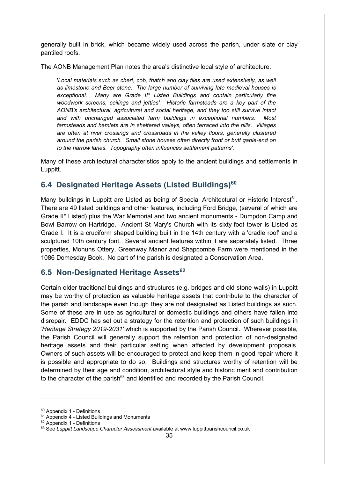generally built in brick, which became widely used across the parish, under slate or clay pantiled roofs.

The AONB Management Plan notes the area's distinctive local style of architecture:

'*Local materials such as chert, cob, thatch and clay tiles are used extensively, as well as limestone and Beer stone. The large number of surviving late medieval houses is exceptional. Many are Grade II\* Listed Buildings and contain particularly fine woodwork screens, ceilings and jetties'. Historic farmsteads are a key part of the AONB's architectural, agricultural and social heritage, and they too still survive intact and with unchanged associated farm buildings in exceptional numbers. Most farmsteads and hamlets are in sheltered valleys, often terraced into the hills. Villages are often at river crossings and crossroads in the valley floors, generally clustered around the parish church. Small stone houses often directly front or butt gable-end on to the narrow lanes. Topography often influences settlement patterns'.* 

Many of these architectural characteristics apply to the ancient buildings and settlements in Luppitt.

#### **6.4 Designated Heritage Assets (Listed Buildings)60**

Many buildings in Luppitt are Listed as being of Special Architectural or Historic Interest<sup>61</sup>. There are 49 listed buildings and other features, including Ford Bridge, (several of which are Grade II\* Listed) plus the War Memorial and two ancient monuments - Dumpdon Camp and Bowl Barrow on Hartridge. Ancient St Mary's Church with its sixty-foot tower is Listed as Grade I. It is a cruciform shaped building built in the 14th century with a 'cradle roof' and a sculptured 10th century font. Several ancient features within it are separately listed. Three properties, Mohuns Ottery, Greenway Manor and Shapcombe Farm were mentioned in the 1086 Domesday Book. No part of the parish is designated a Conservation Area.

#### **6.5 Non-Designated Heritage Assets62**

Certain older traditional buildings and structures (e.g. bridges and old stone walls) in Luppitt may be worthy of protection as valuable heritage assets that contribute to the character of the parish and landscape even though they are not designated as Listed buildings as such. Some of these are in use as agricultural or domestic buildings and others have fallen into disrepair. EDDC has set out a strategy for the retention and protection of such buildings in *'Heritage Strategy 2019-2031'* which is supported by the Parish Council. Wherever possible, the Parish Council will generally support the retention and protection of non-designated heritage assets and their particular setting when affected by development proposals. Owners of such assets will be encouraged to protect and keep them in good repair where it is possible and appropriate to do so. Buildings and structures worthy of retention will be determined by their age and condition, architectural style and historic merit and contribution to the character of the parish<sup>63</sup> and identified and recorded by the Parish Council.

<sup>60</sup> Appendix 1 - Definitions

 $61$  Appendix 4 - Listed Buildings and Monuments  $62$  Appendix 1 - Definitions

<sup>63</sup> See *Luppitt Landscape Character Assessment* available at www.luppittparishcouncil.co.uk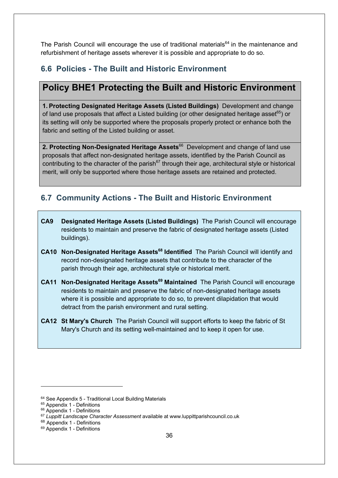The Parish Council will encourage the use of traditional materials<sup>64</sup> in the maintenance and refurbishment of heritage assets wherever it is possible and appropriate to do so.

#### **6.6 Policies - The Built and Historic Environment**

#### **Policy BHE1 Protecting the Built and Historic Environment**

**1. Protecting Designated Heritage Assets (Listed Buildings)** Development and change of land use proposals that affect a Listed building (or other designated heritage asset $65$ ) or its setting will only be supported where the proposals properly protect or enhance both the fabric and setting of the Listed building or asset.

**2. Protecting Non-Designated Heritage Assets<sup>66</sup> Development and change of land use** proposals that affect non-designated heritage assets, identified by the Parish Council as contributing to the character of the parish<sup>67</sup> through their age, architectural style or historical merit, will only be supported where those heritage assets are retained and protected.

#### **6.7 Community Actions - The Built and Historic Environment**

- **CA9 Designated Heritage Assets (Listed Buildings)** The Parish Council will encourage residents to maintain and preserve the fabric of designated heritage assets (Listed buildings).
- **CA10 Non-Designated Heritage Assets<sup>68</sup> Identified** The Parish Council will identify and record non-designated heritage assets that contribute to the character of the parish through their age, architectural style or historical merit.
- **CA11 Non-Designated Heritage Assets<sup>69</sup> Maintained** The Parish Council will encourage residents to maintain and preserve the fabric of non-designated heritage assets where it is possible and appropriate to do so, to prevent dilapidation that would detract from the parish environment and rural setting.
- **CA12 St Mary's Church** The Parish Council will support efforts to keep the fabric of St Mary's Church and its setting well-maintained and to keep it open for use.

 $64$  See Appendix 5 - Traditional Local Building Materials  $65$  Appendix 1 - Definitions

<sup>&</sup>lt;sup>66</sup> Appendix 1 - Definitions

<sup>67</sup> *Luppitt Landscape Character Assessment* available at www.luppittparishcouncil.co.uk

<sup>68</sup> Appendix 1 - Definitions <sup>69</sup> Appendix 1 - Definitions